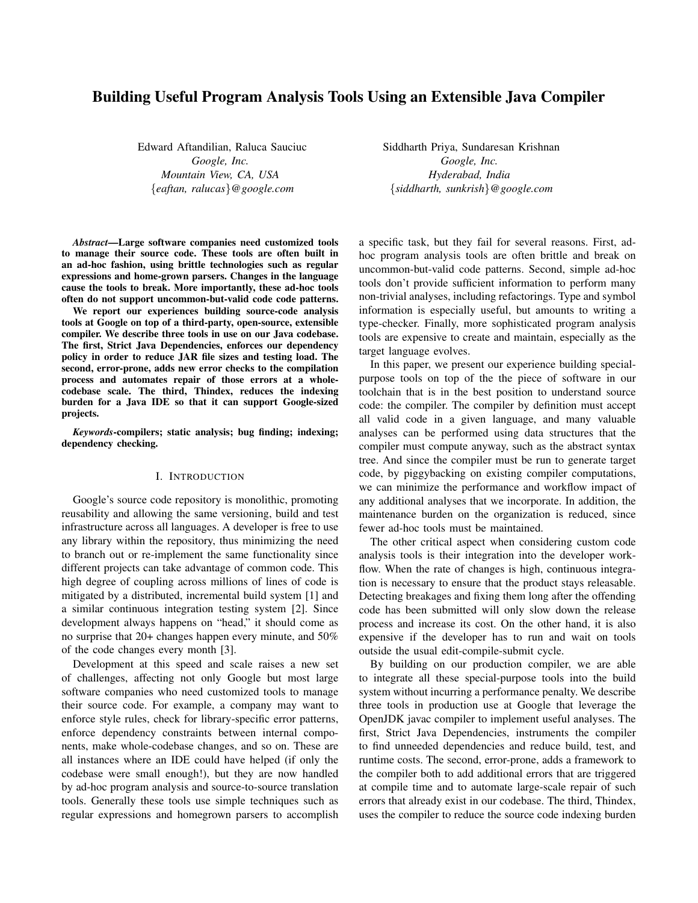# Building Useful Program Analysis Tools Using an Extensible Java Compiler

Edward Aftandilian, Raluca Sauciuc *Google, Inc. Mountain View, CA, USA* {*eaftan, ralucas*}*@google.com*

Siddharth Priya, Sundaresan Krishnan *Google, Inc. Hyderabad, India* {*siddharth, sunkrish*}*@google.com*

*Abstract*—Large software companies need customized tools to manage their source code. These tools are often built in an ad-hoc fashion, using brittle technologies such as regular expressions and home-grown parsers. Changes in the language cause the tools to break. More importantly, these ad-hoc tools often do not support uncommon-but-valid code code patterns.

We report our experiences building source-code analysis tools at Google on top of a third-party, open-source, extensible compiler. We describe three tools in use on our Java codebase. The first, Strict Java Dependencies, enforces our dependency policy in order to reduce JAR file sizes and testing load. The second, error-prone, adds new error checks to the compilation process and automates repair of those errors at a wholecodebase scale. The third, Thindex, reduces the indexing burden for a Java IDE so that it can support Google-sized projects.

*Keywords*-compilers; static analysis; bug finding; indexing; dependency checking.

### I. INTRODUCTION

Google's source code repository is monolithic, promoting reusability and allowing the same versioning, build and test infrastructure across all languages. A developer is free to use any library within the repository, thus minimizing the need to branch out or re-implement the same functionality since different projects can take advantage of common code. This high degree of coupling across millions of lines of code is mitigated by a distributed, incremental build system [1] and a similar continuous integration testing system [2]. Since development always happens on "head," it should come as no surprise that 20+ changes happen every minute, and 50% of the code changes every month [3].

Development at this speed and scale raises a new set of challenges, affecting not only Google but most large software companies who need customized tools to manage their source code. For example, a company may want to enforce style rules, check for library-specific error patterns, enforce dependency constraints between internal components, make whole-codebase changes, and so on. These are all instances where an IDE could have helped (if only the codebase were small enough!), but they are now handled by ad-hoc program analysis and source-to-source translation tools. Generally these tools use simple techniques such as regular expressions and homegrown parsers to accomplish a specific task, but they fail for several reasons. First, adhoc program analysis tools are often brittle and break on uncommon-but-valid code patterns. Second, simple ad-hoc tools don't provide sufficient information to perform many non-trivial analyses, including refactorings. Type and symbol information is especially useful, but amounts to writing a type-checker. Finally, more sophisticated program analysis tools are expensive to create and maintain, especially as the target language evolves.

In this paper, we present our experience building specialpurpose tools on top of the the piece of software in our toolchain that is in the best position to understand source code: the compiler. The compiler by definition must accept all valid code in a given language, and many valuable analyses can be performed using data structures that the compiler must compute anyway, such as the abstract syntax tree. And since the compiler must be run to generate target code, by piggybacking on existing compiler computations, we can minimize the performance and workflow impact of any additional analyses that we incorporate. In addition, the maintenance burden on the organization is reduced, since fewer ad-hoc tools must be maintained.

The other critical aspect when considering custom code analysis tools is their integration into the developer workflow. When the rate of changes is high, continuous integration is necessary to ensure that the product stays releasable. Detecting breakages and fixing them long after the offending code has been submitted will only slow down the release process and increase its cost. On the other hand, it is also expensive if the developer has to run and wait on tools outside the usual edit-compile-submit cycle.

By building on our production compiler, we are able to integrate all these special-purpose tools into the build system without incurring a performance penalty. We describe three tools in production use at Google that leverage the OpenJDK javac compiler to implement useful analyses. The first, Strict Java Dependencies, instruments the compiler to find unneeded dependencies and reduce build, test, and runtime costs. The second, error-prone, adds a framework to the compiler both to add additional errors that are triggered at compile time and to automate large-scale repair of such errors that already exist in our codebase. The third, Thindex, uses the compiler to reduce the source code indexing burden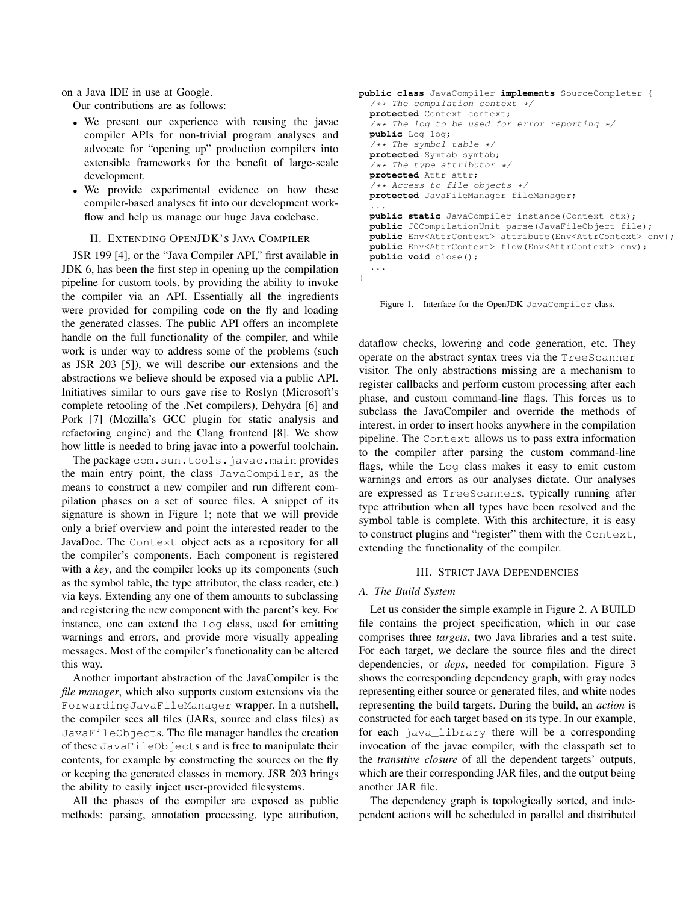on a Java IDE in use at Google.

Our contributions are as follows:

- We present our experience with reusing the javac compiler APIs for non-trivial program analyses and advocate for "opening up" production compilers into extensible frameworks for the benefit of large-scale development.
- We provide experimental evidence on how these compiler-based analyses fit into our development workflow and help us manage our huge Java codebase.

# II. EXTENDING OPENJDK'S JAVA COMPILER

JSR 199 [4], or the "Java Compiler API," first available in JDK 6, has been the first step in opening up the compilation pipeline for custom tools, by providing the ability to invoke the compiler via an API. Essentially all the ingredients were provided for compiling code on the fly and loading the generated classes. The public API offers an incomplete handle on the full functionality of the compiler, and while work is under way to address some of the problems (such as JSR 203 [5]), we will describe our extensions and the abstractions we believe should be exposed via a public API. Initiatives similar to ours gave rise to Roslyn (Microsoft's complete retooling of the .Net compilers), Dehydra [6] and Pork [7] (Mozilla's GCC plugin for static analysis and refactoring engine) and the Clang frontend [8]. We show how little is needed to bring javac into a powerful toolchain.

The package com.sun.tools.javac.main provides the main entry point, the class JavaCompiler, as the means to construct a new compiler and run different compilation phases on a set of source files. A snippet of its signature is shown in Figure 1; note that we will provide only a brief overview and point the interested reader to the JavaDoc. The Context object acts as a repository for all the compiler's components. Each component is registered with a *key*, and the compiler looks up its components (such as the symbol table, the type attributor, the class reader, etc.) via keys. Extending any one of them amounts to subclassing and registering the new component with the parent's key. For instance, one can extend the Log class, used for emitting warnings and errors, and provide more visually appealing messages. Most of the compiler's functionality can be altered this way.

Another important abstraction of the JavaCompiler is the *file manager*, which also supports custom extensions via the ForwardingJavaFileManager wrapper. In a nutshell, the compiler sees all files (JARs, source and class files) as JavaFileObjects. The file manager handles the creation of these JavaFileObjects and is free to manipulate their contents, for example by constructing the sources on the fly or keeping the generated classes in memory. JSR 203 brings the ability to easily inject user-provided filesystems.

All the phases of the compiler are exposed as public methods: parsing, annotation processing, type attribution,

```
public class JavaCompiler implements SourceCompleter {
  \left(\frac{1}{2}x + \frac{1}{2}r\right) compilation context \left(\frac{1}{2}x\right)protected Context context;
  \sqrt{***} The log to be used for error reporting */public Log log;
  /** The symbol table */protected Symtab symtab;
  /** The type attributor */protected Attr attr;
  /** Access to file objects */
  protected JavaFileManager fileManager;
  ...
  public static JavaCompiler instance(Context ctx);
  public JCCompilationUnit parse(JavaFileObject file);
  public Env<AttrContext> attribute(Env<AttrContext> env);
  public Env<AttrContext> flow(Env<AttrContext> env);
  public void close();
  ...
}
```
Figure 1. Interface for the OpenJDK JavaCompiler class.

dataflow checks, lowering and code generation, etc. They operate on the abstract syntax trees via the TreeScanner visitor. The only abstractions missing are a mechanism to register callbacks and perform custom processing after each phase, and custom command-line flags. This forces us to subclass the JavaCompiler and override the methods of interest, in order to insert hooks anywhere in the compilation pipeline. The Context allows us to pass extra information to the compiler after parsing the custom command-line flags, while the Log class makes it easy to emit custom warnings and errors as our analyses dictate. Our analyses are expressed as TreeScanners, typically running after type attribution when all types have been resolved and the symbol table is complete. With this architecture, it is easy to construct plugins and "register" them with the Context, extending the functionality of the compiler.

#### III. STRICT JAVA DEPENDENCIES

#### *A. The Build System*

Let us consider the simple example in Figure 2. A BUILD file contains the project specification, which in our case comprises three *targets*, two Java libraries and a test suite. For each target, we declare the source files and the direct dependencies, or *deps*, needed for compilation. Figure 3 shows the corresponding dependency graph, with gray nodes representing either source or generated files, and white nodes representing the build targets. During the build, an *action* is constructed for each target based on its type. In our example, for each java\_library there will be a corresponding invocation of the javac compiler, with the classpath set to the *transitive closure* of all the dependent targets' outputs, which are their corresponding JAR files, and the output being another JAR file.

The dependency graph is topologically sorted, and independent actions will be scheduled in parallel and distributed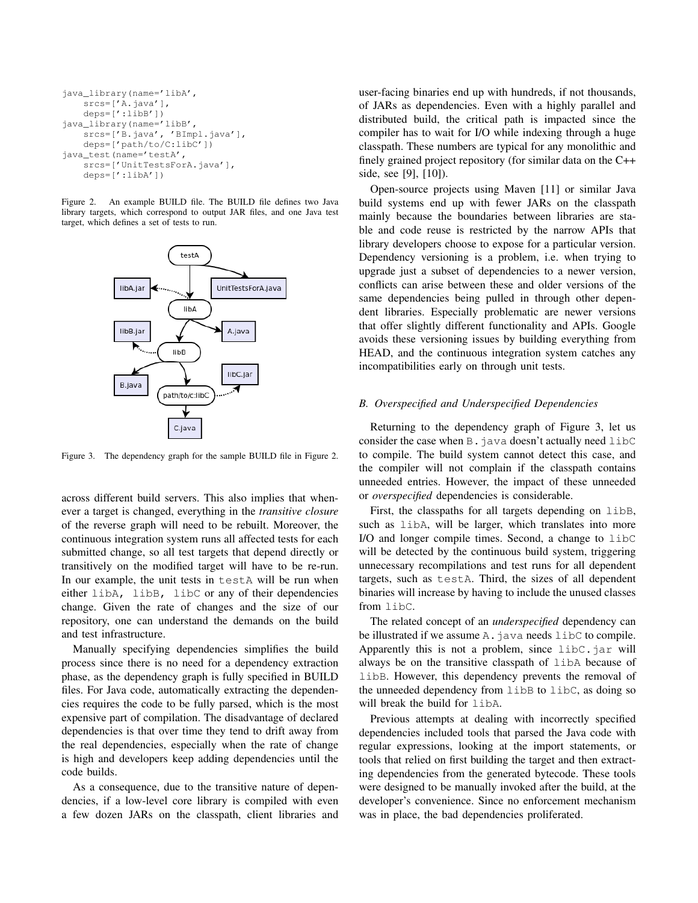```
java_library(name='libA',
    srcs=['A.java'],
    deps=[':libB'])
java_library(name='libB',
   srcs=['B.java', 'BImpl.java'],
   deps=['path/to/C:libC'])
java_test(name='testA',
   srcs=['UnitTestsForA.java'],
   deps=[':libA'])
```
Figure 2. An example BUILD file. The BUILD file defines two Java library targets, which correspond to output JAR files, and one Java test target, which defines a set of tests to run.



Figure 3. The dependency graph for the sample BUILD file in Figure 2.

across different build servers. This also implies that whenever a target is changed, everything in the *transitive closure* of the reverse graph will need to be rebuilt. Moreover, the continuous integration system runs all affected tests for each submitted change, so all test targets that depend directly or transitively on the modified target will have to be re-run. In our example, the unit tests in testA will be run when either libA, libB, libC or any of their dependencies change. Given the rate of changes and the size of our repository, one can understand the demands on the build and test infrastructure.

Manually specifying dependencies simplifies the build process since there is no need for a dependency extraction phase, as the dependency graph is fully specified in BUILD files. For Java code, automatically extracting the dependencies requires the code to be fully parsed, which is the most expensive part of compilation. The disadvantage of declared dependencies is that over time they tend to drift away from the real dependencies, especially when the rate of change is high and developers keep adding dependencies until the code builds.

As a consequence, due to the transitive nature of dependencies, if a low-level core library is compiled with even a few dozen JARs on the classpath, client libraries and user-facing binaries end up with hundreds, if not thousands, of JARs as dependencies. Even with a highly parallel and distributed build, the critical path is impacted since the compiler has to wait for I/O while indexing through a huge classpath. These numbers are typical for any monolithic and finely grained project repository (for similar data on the C++ side, see [9], [10]).

Open-source projects using Maven [11] or similar Java build systems end up with fewer JARs on the classpath mainly because the boundaries between libraries are stable and code reuse is restricted by the narrow APIs that library developers choose to expose for a particular version. Dependency versioning is a problem, i.e. when trying to upgrade just a subset of dependencies to a newer version, conflicts can arise between these and older versions of the same dependencies being pulled in through other dependent libraries. Especially problematic are newer versions that offer slightly different functionality and APIs. Google avoids these versioning issues by building everything from HEAD, and the continuous integration system catches any incompatibilities early on through unit tests.

### *B. Overspecified and Underspecified Dependencies*

Returning to the dependency graph of Figure 3, let us consider the case when  $B$ . java doesn't actually need libC to compile. The build system cannot detect this case, and the compiler will not complain if the classpath contains unneeded entries. However, the impact of these unneeded or *overspecified* dependencies is considerable.

First, the classpaths for all targets depending on libB, such as libA, will be larger, which translates into more I/O and longer compile times. Second, a change to libC will be detected by the continuous build system, triggering unnecessary recompilations and test runs for all dependent targets, such as testA. Third, the sizes of all dependent binaries will increase by having to include the unused classes from libC.

The related concept of an *underspecified* dependency can be illustrated if we assume  $A$ . java needs libC to compile. Apparently this is not a problem, since  $\exists$  ibC,  $\exists$  ar will always be on the transitive classpath of libA because of libB. However, this dependency prevents the removal of the unneeded dependency from libB to libC, as doing so will break the build for libA.

Previous attempts at dealing with incorrectly specified dependencies included tools that parsed the Java code with regular expressions, looking at the import statements, or tools that relied on first building the target and then extracting dependencies from the generated bytecode. These tools were designed to be manually invoked after the build, at the developer's convenience. Since no enforcement mechanism was in place, the bad dependencies proliferated.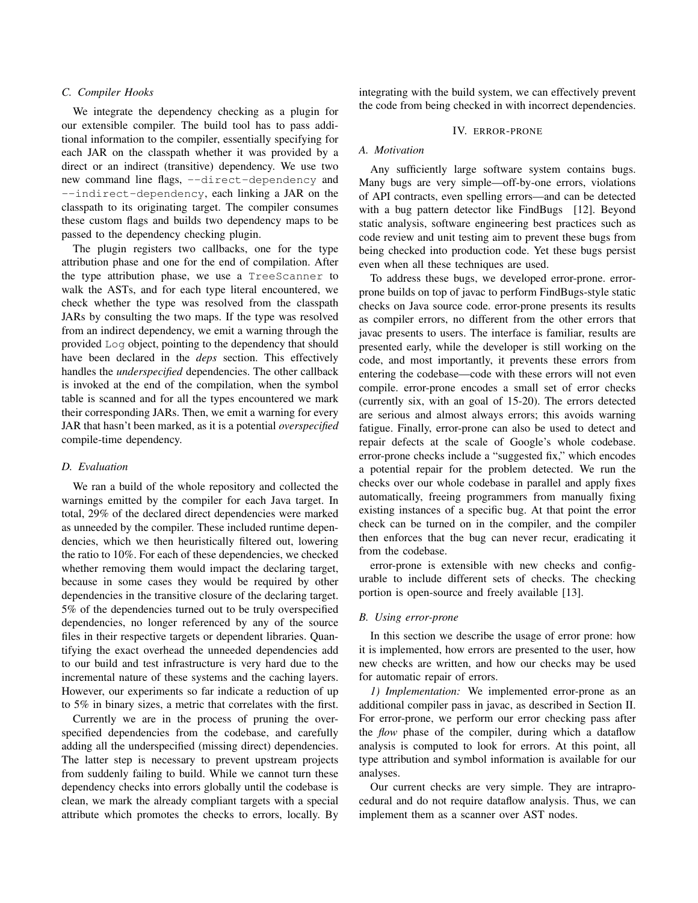### *C. Compiler Hooks*

We integrate the dependency checking as a plugin for our extensible compiler. The build tool has to pass additional information to the compiler, essentially specifying for each JAR on the classpath whether it was provided by a direct or an indirect (transitive) dependency. We use two new command line flags,  $-\text{direct-depenedency}$  and --indirect-dependency, each linking a JAR on the classpath to its originating target. The compiler consumes these custom flags and builds two dependency maps to be passed to the dependency checking plugin.

The plugin registers two callbacks, one for the type attribution phase and one for the end of compilation. After the type attribution phase, we use a TreeScanner to walk the ASTs, and for each type literal encountered, we check whether the type was resolved from the classpath JARs by consulting the two maps. If the type was resolved from an indirect dependency, we emit a warning through the provided Log object, pointing to the dependency that should have been declared in the *deps* section. This effectively handles the *underspecified* dependencies. The other callback is invoked at the end of the compilation, when the symbol table is scanned and for all the types encountered we mark their corresponding JARs. Then, we emit a warning for every JAR that hasn't been marked, as it is a potential *overspecified* compile-time dependency.

### *D. Evaluation*

We ran a build of the whole repository and collected the warnings emitted by the compiler for each Java target. In total, 29% of the declared direct dependencies were marked as unneeded by the compiler. These included runtime dependencies, which we then heuristically filtered out, lowering the ratio to 10%. For each of these dependencies, we checked whether removing them would impact the declaring target, because in some cases they would be required by other dependencies in the transitive closure of the declaring target. 5% of the dependencies turned out to be truly overspecified dependencies, no longer referenced by any of the source files in their respective targets or dependent libraries. Quantifying the exact overhead the unneeded dependencies add to our build and test infrastructure is very hard due to the incremental nature of these systems and the caching layers. However, our experiments so far indicate a reduction of up to 5% in binary sizes, a metric that correlates with the first.

Currently we are in the process of pruning the overspecified dependencies from the codebase, and carefully adding all the underspecified (missing direct) dependencies. The latter step is necessary to prevent upstream projects from suddenly failing to build. While we cannot turn these dependency checks into errors globally until the codebase is clean, we mark the already compliant targets with a special attribute which promotes the checks to errors, locally. By integrating with the build system, we can effectively prevent the code from being checked in with incorrect dependencies.

### IV. ERROR-PRONE

### *A. Motivation*

Any sufficiently large software system contains bugs. Many bugs are very simple—off-by-one errors, violations of API contracts, even spelling errors—and can be detected with a bug pattern detector like FindBugs [12]. Beyond static analysis, software engineering best practices such as code review and unit testing aim to prevent these bugs from being checked into production code. Yet these bugs persist even when all these techniques are used.

To address these bugs, we developed error-prone. errorprone builds on top of javac to perform FindBugs-style static checks on Java source code. error-prone presents its results as compiler errors, no different from the other errors that javac presents to users. The interface is familiar, results are presented early, while the developer is still working on the code, and most importantly, it prevents these errors from entering the codebase—code with these errors will not even compile. error-prone encodes a small set of error checks (currently six, with an goal of 15-20). The errors detected are serious and almost always errors; this avoids warning fatigue. Finally, error-prone can also be used to detect and repair defects at the scale of Google's whole codebase. error-prone checks include a "suggested fix," which encodes a potential repair for the problem detected. We run the checks over our whole codebase in parallel and apply fixes automatically, freeing programmers from manually fixing existing instances of a specific bug. At that point the error check can be turned on in the compiler, and the compiler then enforces that the bug can never recur, eradicating it from the codebase.

error-prone is extensible with new checks and configurable to include different sets of checks. The checking portion is open-source and freely available [13].

#### *B. Using error-prone*

In this section we describe the usage of error prone: how it is implemented, how errors are presented to the user, how new checks are written, and how our checks may be used for automatic repair of errors.

*1) Implementation:* We implemented error-prone as an additional compiler pass in javac, as described in Section II. For error-prone, we perform our error checking pass after the *flow* phase of the compiler, during which a dataflow analysis is computed to look for errors. At this point, all type attribution and symbol information is available for our analyses.

Our current checks are very simple. They are intraprocedural and do not require dataflow analysis. Thus, we can implement them as a scanner over AST nodes.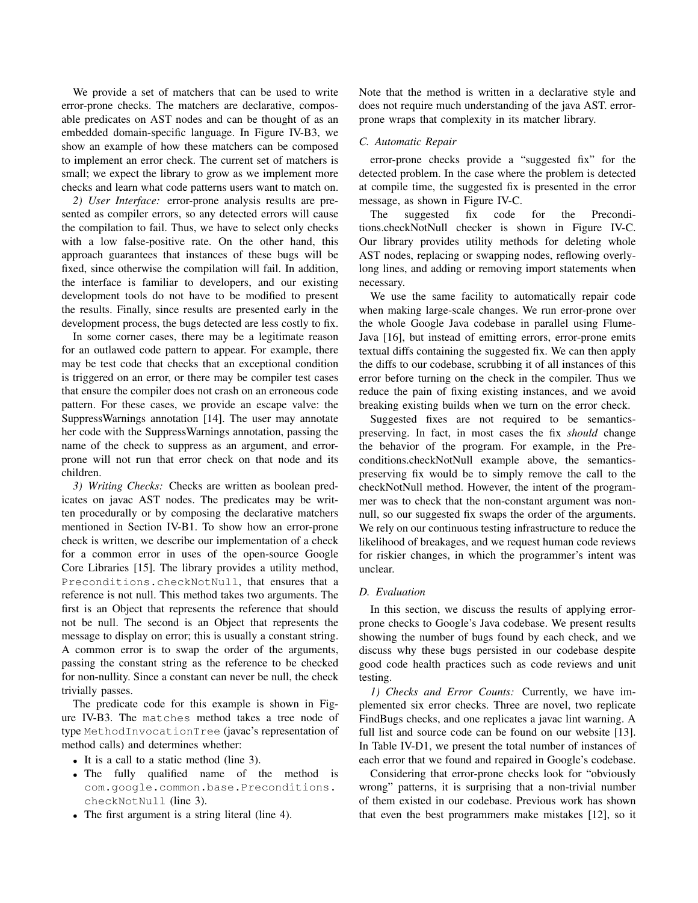We provide a set of matchers that can be used to write error-prone checks. The matchers are declarative, composable predicates on AST nodes and can be thought of as an embedded domain-specific language. In Figure IV-B3, we show an example of how these matchers can be composed to implement an error check. The current set of matchers is small; we expect the library to grow as we implement more checks and learn what code patterns users want to match on.

*2) User Interface:* error-prone analysis results are presented as compiler errors, so any detected errors will cause the compilation to fail. Thus, we have to select only checks with a low false-positive rate. On the other hand, this approach guarantees that instances of these bugs will be fixed, since otherwise the compilation will fail. In addition, the interface is familiar to developers, and our existing development tools do not have to be modified to present the results. Finally, since results are presented early in the development process, the bugs detected are less costly to fix.

In some corner cases, there may be a legitimate reason for an outlawed code pattern to appear. For example, there may be test code that checks that an exceptional condition is triggered on an error, or there may be compiler test cases that ensure the compiler does not crash on an erroneous code pattern. For these cases, we provide an escape valve: the SuppressWarnings annotation [14]. The user may annotate her code with the SuppressWarnings annotation, passing the name of the check to suppress as an argument, and errorprone will not run that error check on that node and its children.

*3) Writing Checks:* Checks are written as boolean predicates on javac AST nodes. The predicates may be written procedurally or by composing the declarative matchers mentioned in Section IV-B1. To show how an error-prone check is written, we describe our implementation of a check for a common error in uses of the open-source Google Core Libraries [15]. The library provides a utility method, Preconditions.checkNotNull, that ensures that a reference is not null. This method takes two arguments. The first is an Object that represents the reference that should not be null. The second is an Object that represents the message to display on error; this is usually a constant string. A common error is to swap the order of the arguments, passing the constant string as the reference to be checked for non-nullity. Since a constant can never be null, the check trivially passes.

The predicate code for this example is shown in Figure IV-B3. The matches method takes a tree node of type MethodInvocationTree (javac's representation of method calls) and determines whether:

- It is a call to a static method (line 3).
- The fully qualified name of the method is com.google.common.base.Preconditions. checkNotNull (line 3).
- The first argument is a string literal (line 4).

Note that the method is written in a declarative style and does not require much understanding of the java AST. errorprone wraps that complexity in its matcher library.

### *C. Automatic Repair*

error-prone checks provide a "suggested fix" for the detected problem. In the case where the problem is detected at compile time, the suggested fix is presented in the error message, as shown in Figure IV-C.

The suggested fix code for the Preconditions.checkNotNull checker is shown in Figure IV-C. Our library provides utility methods for deleting whole AST nodes, replacing or swapping nodes, reflowing overlylong lines, and adding or removing import statements when necessary.

We use the same facility to automatically repair code when making large-scale changes. We run error-prone over the whole Google Java codebase in parallel using Flume-Java [16], but instead of emitting errors, error-prone emits textual diffs containing the suggested fix. We can then apply the diffs to our codebase, scrubbing it of all instances of this error before turning on the check in the compiler. Thus we reduce the pain of fixing existing instances, and we avoid breaking existing builds when we turn on the error check.

Suggested fixes are not required to be semanticspreserving. In fact, in most cases the fix *should* change the behavior of the program. For example, in the Preconditions.checkNotNull example above, the semanticspreserving fix would be to simply remove the call to the checkNotNull method. However, the intent of the programmer was to check that the non-constant argument was nonnull, so our suggested fix swaps the order of the arguments. We rely on our continuous testing infrastructure to reduce the likelihood of breakages, and we request human code reviews for riskier changes, in which the programmer's intent was unclear.

## *D. Evaluation*

In this section, we discuss the results of applying errorprone checks to Google's Java codebase. We present results showing the number of bugs found by each check, and we discuss why these bugs persisted in our codebase despite good code health practices such as code reviews and unit testing.

*1) Checks and Error Counts:* Currently, we have implemented six error checks. Three are novel, two replicate FindBugs checks, and one replicates a javac lint warning. A full list and source code can be found on our website [13]. In Table IV-D1, we present the total number of instances of each error that we found and repaired in Google's codebase.

Considering that error-prone checks look for "obviously wrong" patterns, it is surprising that a non-trivial number of them existed in our codebase. Previous work has shown that even the best programmers make mistakes [12], so it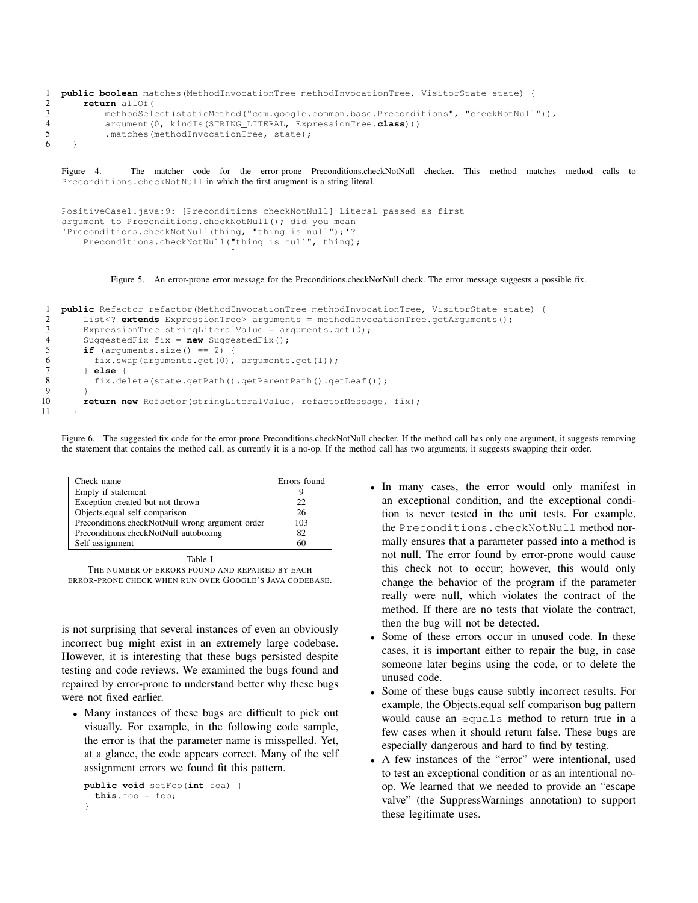```
1 public boolean matches(MethodInvocationTree methodInvocationTree, VisitorState state) {<br>2 return allOf(
        2 return allOf(
3 methodSelect(staticMethod("com.google.common.base.Preconditions", "checkNotNull")),<br>4 argument (0. kindIs(STRING LITERAL, ExpressionTree.class)))
             4 argument(0, kindIs(STRING_LITERAL, ExpressionTree.class)))
5 .matches(methodInvocationTree, state);
6 }
```
Figure 4. The matcher code for the error-prone Preconditions.checkNotNull checker. This method matches method calls to Preconditions.checkNotNull in which the first arugment is a string literal.

```
PositiveCase1.java:9: [Preconditions checkNotNull] Literal passed as first
argument to Preconditions.checkNotNull(); did you mean
'Preconditions.checkNotNull(thing, "thing is null");'?
   Preconditions.checkNotNull("thing is null", thing);
```
 $\hat{\phantom{a}}$ 

Figure 5. An error-prone error message for the Preconditions.checkNotNull check. The error message suggests a possible fix.

```
1 public Refactor refactor(MethodInvocationTree methodInvocationTree, VisitorState state) {<br>2 List<? extends ExpressionTree> arguments = methodInvocationTree.getArguments();
         List<? extends ExpressionTree> arguments = methodInvocationTree.getArguments();
3 ExpressionTree stringLiteralValue = arguments.get(0);
4 SuggestedFix fix = new SuggestedFix();<br>5 if (arguments.size() == 2) {
         if (\text{arguments.size}() == 2)6 fix.swap(arguments.get(0), arguments.get(1));<br>
7 else {
7 } else {
8 fix.delete(state.getPath().getParentPath().getLeaf());
 9 }
10 return new Refactor(stringLiteralValue, refactorMessage, fix);
11 }
```
Figure 6. The suggested fix code for the error-prone Preconditions.checkNotNull checker. If the method call has only one argument, it suggests removing the statement that contains the method call, as currently it is a no-op. If the method call has two arguments, it suggests swapping their order.

| Check name                                      | Errors found |
|-------------------------------------------------|--------------|
| Empty if statement                              |              |
| Exception created but not thrown                | 22           |
| Objects.equal self comparison                   | 26           |
| Preconditions.checkNotNull wrong argument order | 103          |
| Preconditions.checkNotNull autoboxing           | 82           |
| Self assignment                                 | 60           |

Table I

THE NUMBER OF ERRORS FOUND AND REPAIRED BY EACH ERROR-PRONE CHECK WHEN RUN OVER GOOGLE'S JAVA CODEBASE.

is not surprising that several instances of even an obviously incorrect bug might exist in an extremely large codebase. However, it is interesting that these bugs persisted despite testing and code reviews. We examined the bugs found and repaired by error-prone to understand better why these bugs were not fixed earlier.

• Many instances of these bugs are difficult to pick out visually. For example, in the following code sample, the error is that the parameter name is misspelled. Yet, at a glance, the code appears correct. Many of the self assignment errors we found fit this pattern.

```
public void setFoo(int foa) {
 this.foo = foo;
}
```
- In many cases, the error would only manifest in an exceptional condition, and the exceptional condition is never tested in the unit tests. For example, the Preconditions.checkNotNull method normally ensures that a parameter passed into a method is not null. The error found by error-prone would cause this check not to occur; however, this would only change the behavior of the program if the parameter really were null, which violates the contract of the method. If there are no tests that violate the contract, then the bug will not be detected.
- Some of these errors occur in unused code. In these cases, it is important either to repair the bug, in case someone later begins using the code, or to delete the unused code.
- Some of these bugs cause subtly incorrect results. For example, the Objects.equal self comparison bug pattern would cause an equals method to return true in a few cases when it should return false. These bugs are especially dangerous and hard to find by testing.
- A few instances of the "error" were intentional, used to test an exceptional condition or as an intentional noop. We learned that we needed to provide an "escape valve" (the SuppressWarnings annotation) to support these legitimate uses.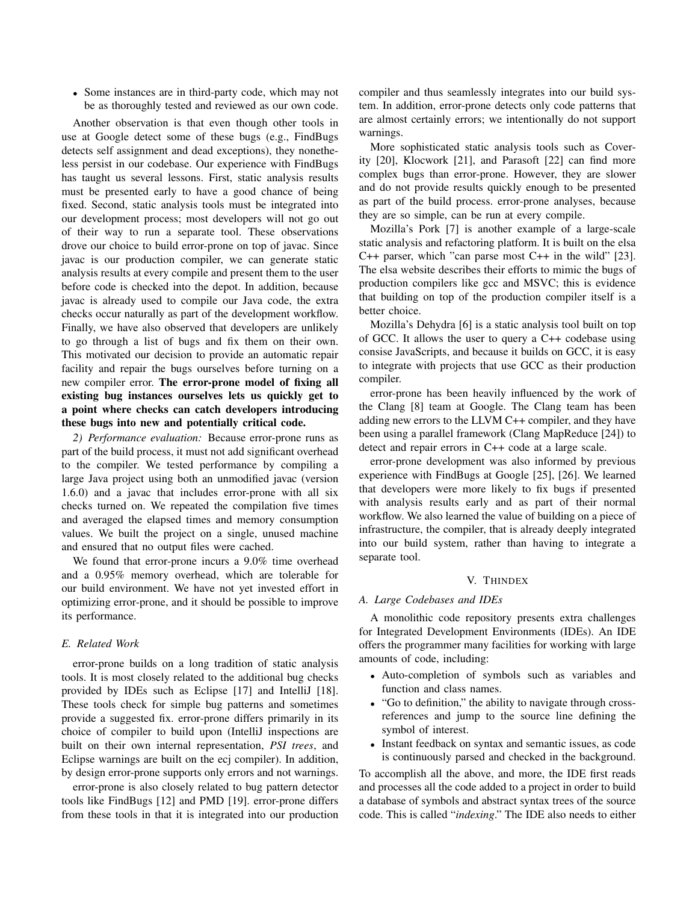• Some instances are in third-party code, which may not be as thoroughly tested and reviewed as our own code.

Another observation is that even though other tools in use at Google detect some of these bugs (e.g., FindBugs detects self assignment and dead exceptions), they nonetheless persist in our codebase. Our experience with FindBugs has taught us several lessons. First, static analysis results must be presented early to have a good chance of being fixed. Second, static analysis tools must be integrated into our development process; most developers will not go out of their way to run a separate tool. These observations drove our choice to build error-prone on top of javac. Since javac is our production compiler, we can generate static analysis results at every compile and present them to the user before code is checked into the depot. In addition, because javac is already used to compile our Java code, the extra checks occur naturally as part of the development workflow. Finally, we have also observed that developers are unlikely to go through a list of bugs and fix them on their own. This motivated our decision to provide an automatic repair facility and repair the bugs ourselves before turning on a new compiler error. The error-prone model of fixing all existing bug instances ourselves lets us quickly get to a point where checks can catch developers introducing these bugs into new and potentially critical code.

*2) Performance evaluation:* Because error-prone runs as part of the build process, it must not add significant overhead to the compiler. We tested performance by compiling a large Java project using both an unmodified javac (version 1.6.0) and a javac that includes error-prone with all six checks turned on. We repeated the compilation five times and averaged the elapsed times and memory consumption values. We built the project on a single, unused machine and ensured that no output files were cached.

We found that error-prone incurs a 9.0% time overhead and a 0.95% memory overhead, which are tolerable for our build environment. We have not yet invested effort in optimizing error-prone, and it should be possible to improve its performance.

### *E. Related Work*

error-prone builds on a long tradition of static analysis tools. It is most closely related to the additional bug checks provided by IDEs such as Eclipse [17] and IntelliJ [18]. These tools check for simple bug patterns and sometimes provide a suggested fix. error-prone differs primarily in its choice of compiler to build upon (IntelliJ inspections are built on their own internal representation, *PSI trees*, and Eclipse warnings are built on the ecj compiler). In addition, by design error-prone supports only errors and not warnings.

error-prone is also closely related to bug pattern detector tools like FindBugs [12] and PMD [19]. error-prone differs from these tools in that it is integrated into our production compiler and thus seamlessly integrates into our build system. In addition, error-prone detects only code patterns that are almost certainly errors; we intentionally do not support warnings.

More sophisticated static analysis tools such as Coverity [20], Klocwork [21], and Parasoft [22] can find more complex bugs than error-prone. However, they are slower and do not provide results quickly enough to be presented as part of the build process. error-prone analyses, because they are so simple, can be run at every compile.

Mozilla's Pork [7] is another example of a large-scale static analysis and refactoring platform. It is built on the elsa C++ parser, which "can parse most C++ in the wild" [23]. The elsa website describes their efforts to mimic the bugs of production compilers like gcc and MSVC; this is evidence that building on top of the production compiler itself is a better choice.

Mozilla's Dehydra [6] is a static analysis tool built on top of GCC. It allows the user to query a C++ codebase using consise JavaScripts, and because it builds on GCC, it is easy to integrate with projects that use GCC as their production compiler.

error-prone has been heavily influenced by the work of the Clang [8] team at Google. The Clang team has been adding new errors to the LLVM C++ compiler, and they have been using a parallel framework (Clang MapReduce [24]) to detect and repair errors in C++ code at a large scale.

error-prone development was also informed by previous experience with FindBugs at Google [25], [26]. We learned that developers were more likely to fix bugs if presented with analysis results early and as part of their normal workflow. We also learned the value of building on a piece of infrastructure, the compiler, that is already deeply integrated into our build system, rather than having to integrate a separate tool.

#### V. THINDEX

### *A. Large Codebases and IDEs*

A monolithic code repository presents extra challenges for Integrated Development Environments (IDEs). An IDE offers the programmer many facilities for working with large amounts of code, including:

- Auto-completion of symbols such as variables and function and class names.
- "Go to definition," the ability to navigate through crossreferences and jump to the source line defining the symbol of interest.
- Instant feedback on syntax and semantic issues, as code is continuously parsed and checked in the background.

To accomplish all the above, and more, the IDE first reads and processes all the code added to a project in order to build a database of symbols and abstract syntax trees of the source code. This is called "*indexing*." The IDE also needs to either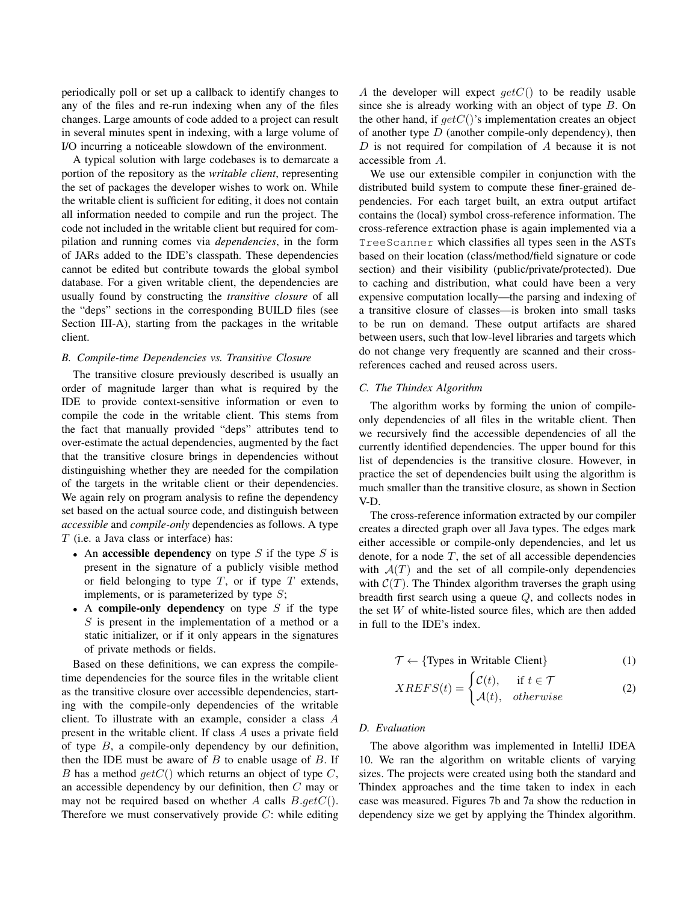periodically poll or set up a callback to identify changes to any of the files and re-run indexing when any of the files changes. Large amounts of code added to a project can result in several minutes spent in indexing, with a large volume of I/O incurring a noticeable slowdown of the environment.

A typical solution with large codebases is to demarcate a portion of the repository as the *writable client*, representing the set of packages the developer wishes to work on. While the writable client is sufficient for editing, it does not contain all information needed to compile and run the project. The code not included in the writable client but required for compilation and running comes via *dependencies*, in the form of JARs added to the IDE's classpath. These dependencies cannot be edited but contribute towards the global symbol database. For a given writable client, the dependencies are usually found by constructing the *transitive closure* of all the "deps" sections in the corresponding BUILD files (see Section III-A), starting from the packages in the writable client.

### *B. Compile-time Dependencies vs. Transitive Closure*

The transitive closure previously described is usually an order of magnitude larger than what is required by the IDE to provide context-sensitive information or even to compile the code in the writable client. This stems from the fact that manually provided "deps" attributes tend to over-estimate the actual dependencies, augmented by the fact that the transitive closure brings in dependencies without distinguishing whether they are needed for the compilation of the targets in the writable client or their dependencies. We again rely on program analysis to refine the dependency set based on the actual source code, and distinguish between *accessible* and *compile-only* dependencies as follows. A type T (i.e. a Java class or interface) has:

- An accessible dependency on type  $S$  if the type  $S$  is present in the signature of a publicly visible method or field belonging to type  $T$ , or if type  $T$  extends, implements, or is parameterized by type  $S$ ;
- A compile-only dependency on type  $S$  if the type S is present in the implementation of a method or a static initializer, or if it only appears in the signatures of private methods or fields.

Based on these definitions, we can express the compiletime dependencies for the source files in the writable client as the transitive closure over accessible dependencies, starting with the compile-only dependencies of the writable client. To illustrate with an example, consider a class A present in the writable client. If class A uses a private field of type  $B$ , a compile-only dependency by our definition, then the IDE must be aware of  $B$  to enable usage of  $B$ . If B has a method  $qetC()$  which returns an object of type C, an accessible dependency by our definition, then C may or may not be required based on whether A calls  $B.getC()$ . Therefore we must conservatively provide  $C$ : while editing A the developer will expect  $getC()$  to be readily usable since she is already working with an object of type B. On the other hand, if  $getC()$ 's implementation creates an object of another type  $D$  (another compile-only dependency), then  $D$  is not required for compilation of  $A$  because it is not accessible from A.

We use our extensible compiler in conjunction with the distributed build system to compute these finer-grained dependencies. For each target built, an extra output artifact contains the (local) symbol cross-reference information. The cross-reference extraction phase is again implemented via a TreeScanner which classifies all types seen in the ASTs based on their location (class/method/field signature or code section) and their visibility (public/private/protected). Due to caching and distribution, what could have been a very expensive computation locally—the parsing and indexing of a transitive closure of classes—is broken into small tasks to be run on demand. These output artifacts are shared between users, such that low-level libraries and targets which do not change very frequently are scanned and their crossreferences cached and reused across users.

### *C. The Thindex Algorithm*

The algorithm works by forming the union of compileonly dependencies of all files in the writable client. Then we recursively find the accessible dependencies of all the currently identified dependencies. The upper bound for this list of dependencies is the transitive closure. However, in practice the set of dependencies built using the algorithm is much smaller than the transitive closure, as shown in Section V-D.

The cross-reference information extracted by our compiler creates a directed graph over all Java types. The edges mark either accessible or compile-only dependencies, and let us denote, for a node  $T$ , the set of all accessible dependencies with  $A(T)$  and the set of all compile-only dependencies with  $C(T)$ . The Thindex algorithm traverses the graph using breadth first search using a queue  $Q$ , and collects nodes in the set  $W$  of white-listed source files, which are then added in full to the IDE's index.

$$
\mathcal{T} \leftarrow \{ \text{Types in Writeble Client} \} \tag{1}
$$

$$
XREFS(t) = \begin{cases} \mathcal{C}(t), & \text{if } t \in \mathcal{T} \\ \mathcal{A}(t), & otherwise \end{cases}
$$
 (2)

#### *D. Evaluation*

The above algorithm was implemented in IntelliJ IDEA 10. We ran the algorithm on writable clients of varying sizes. The projects were created using both the standard and Thindex approaches and the time taken to index in each case was measured. Figures 7b and 7a show the reduction in dependency size we get by applying the Thindex algorithm.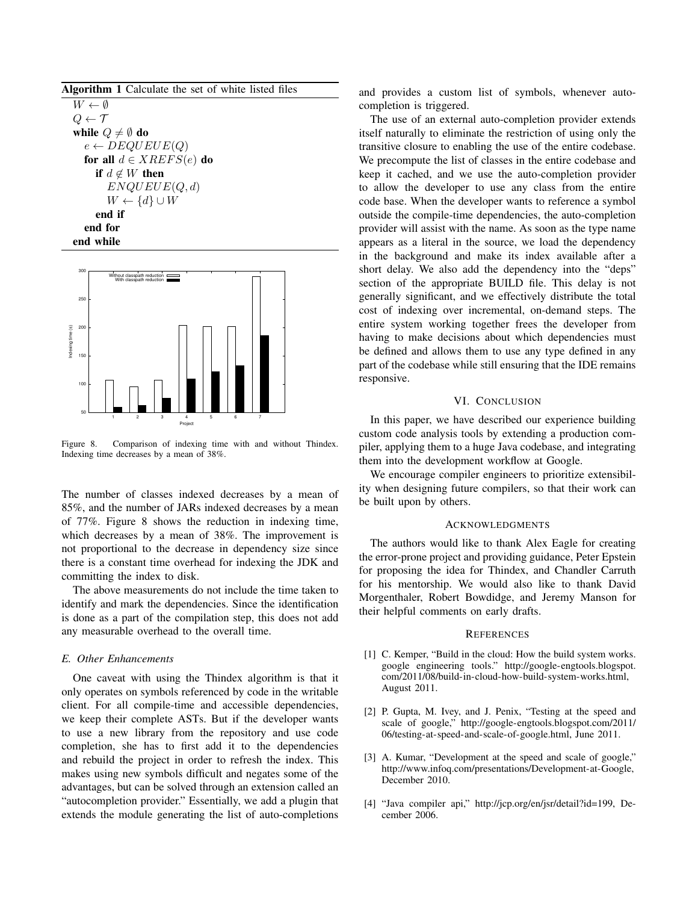$W \leftarrow \emptyset$  $Q \leftarrow \mathcal{T}$ while  $Q \neq \emptyset$  do  $e \leftarrow DEQUEUE(Q)$ for all  $d \in XREFS(e)$  do if  $d \notin W$  then  $ENQUEUE(Q, d)$  $W \leftarrow \{d\} \cup W$ end if end for end while



Figure 8. Comparison of indexing time with and without Thindex. Indexing time decreases by a mean of 38%.

The number of classes indexed decreases by a mean of 85%, and the number of JARs indexed decreases by a mean of 77%. Figure 8 shows the reduction in indexing time, which decreases by a mean of 38%. The improvement is not proportional to the decrease in dependency size since there is a constant time overhead for indexing the JDK and committing the index to disk.

The above measurements do not include the time taken to identify and mark the dependencies. Since the identification is done as a part of the compilation step, this does not add any measurable overhead to the overall time.

### *E. Other Enhancements*

One caveat with using the Thindex algorithm is that it only operates on symbols referenced by code in the writable client. For all compile-time and accessible dependencies, we keep their complete ASTs. But if the developer wants to use a new library from the repository and use code completion, she has to first add it to the dependencies and rebuild the project in order to refresh the index. This makes using new symbols difficult and negates some of the advantages, but can be solved through an extension called an "autocompletion provider." Essentially, we add a plugin that extends the module generating the list of auto-completions and provides a custom list of symbols, whenever autocompletion is triggered.

The use of an external auto-completion provider extends itself naturally to eliminate the restriction of using only the transitive closure to enabling the use of the entire codebase. We precompute the list of classes in the entire codebase and keep it cached, and we use the auto-completion provider to allow the developer to use any class from the entire code base. When the developer wants to reference a symbol outside the compile-time dependencies, the auto-completion provider will assist with the name. As soon as the type name appears as a literal in the source, we load the dependency in the background and make its index available after a short delay. We also add the dependency into the "deps" section of the appropriate BUILD file. This delay is not generally significant, and we effectively distribute the total cost of indexing over incremental, on-demand steps. The entire system working together frees the developer from having to make decisions about which dependencies must be defined and allows them to use any type defined in any part of the codebase while still ensuring that the IDE remains responsive.

## VI. CONCLUSION

In this paper, we have described our experience building custom code analysis tools by extending a production compiler, applying them to a huge Java codebase, and integrating them into the development workflow at Google.

We encourage compiler engineers to prioritize extensibility when designing future compilers, so that their work can be built upon by others.

### ACKNOWLEDGMENTS

The authors would like to thank Alex Eagle for creating the error-prone project and providing guidance, Peter Epstein for proposing the idea for Thindex, and Chandler Carruth for his mentorship. We would also like to thank David Morgenthaler, Robert Bowdidge, and Jeremy Manson for their helpful comments on early drafts.

#### **REFERENCES**

- [1] C. Kemper, "Build in the cloud: How the build system works. google engineering tools." http://google-engtools.blogspot. com/2011/08/build-in-cloud-how-build-system-works.html, August 2011.
- [2] P. Gupta, M. Ivey, and J. Penix, "Testing at the speed and scale of google," http://google-engtools.blogspot.com/2011/ 06/testing-at-speed-and-scale-of-google.html, June 2011.
- [3] A. Kumar, "Development at the speed and scale of google," http://www.infoq.com/presentations/Development-at-Google, December 2010.
- [4] "Java compiler api," http://jcp.org/en/jsr/detail?id=199, December 2006.